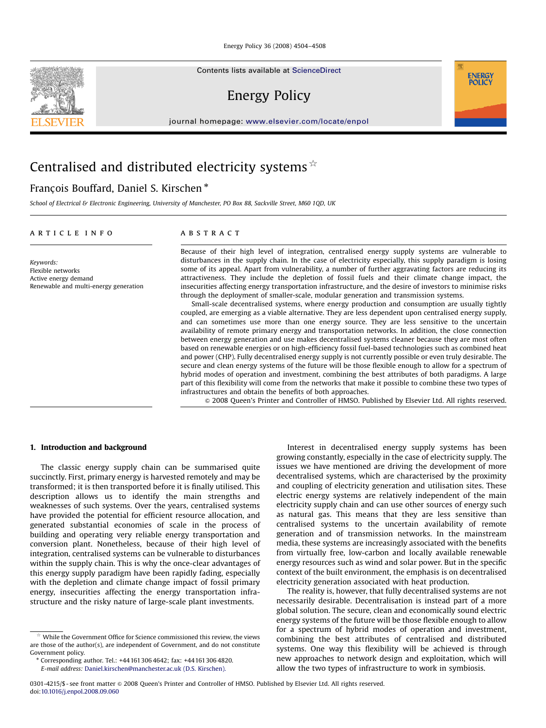Energy Policy 36 (2008) 4504–4508

Contents lists available at [ScienceDirect](www.sciencedirect.com/science/journal/jepo)

Energy Policy

journal homepage: <www.elsevier.com/locate/enpol>

# Centralised and distributed electricity systems  $\dot{\mathbf{x}}$

## François Bouffard, Daniel S. Kirschen  $^\ast$

School of Electrical & Electronic Engineering, University of Manchester, PO Box 88, Sackville Street, M60 10D, UK

#### article info

### ABSTRACT

Keywords: Flexible networks Active energy demand Renewable and multi-energy generation Because of their high level of integration, centralised energy supply systems are vulnerable to disturbances in the supply chain. In the case of electricity especially, this supply paradigm is losing some of its appeal. Apart from vulnerability, a number of further aggravating factors are reducing its attractiveness. They include the depletion of fossil fuels and their climate change impact, the insecurities affecting energy transportation infrastructure, and the desire of investors to minimise risks through the deployment of smaller-scale, modular generation and transmission systems.

**ENERGY<br>POLICY** 

Small-scale decentralised systems, where energy production and consumption are usually tightly coupled, are emerging as a viable alternative. They are less dependent upon centralised energy supply, and can sometimes use more than one energy source. They are less sensitive to the uncertain availability of remote primary energy and transportation networks. In addition, the close connection between energy generation and use makes decentralised systems cleaner because they are most often based on renewable energies or on high-efficiency fossil fuel-based technologies such as combined heat and power (CHP). Fully decentralised energy supply is not currently possible or even truly desirable. The secure and clean energy systems of the future will be those flexible enough to allow for a spectrum of hybrid modes of operation and investment, combining the best attributes of both paradigms. A large part of this flexibility will come from the networks that make it possible to combine these two types of infrastructures and obtain the benefits of both approaches.

& 2008 Queen's Printer and Controller of HMSO. Published by Elsevier Ltd. All rights reserved.

#### 1. Introduction and background

The classic energy supply chain can be summarised quite succinctly. First, primary energy is harvested remotely and may be transformed; it is then transported before it is finally utilised. This description allows us to identify the main strengths and weaknesses of such systems. Over the years, centralised systems have provided the potential for efficient resource allocation, and generated substantial economies of scale in the process of building and operating very reliable energy transportation and conversion plant. Nonetheless, because of their high level of integration, centralised systems can be vulnerable to disturbances within the supply chain. This is why the once-clear advantages of this energy supply paradigm have been rapidly fading, especially with the depletion and climate change impact of fossil primary energy, insecurities affecting the energy transportation infrastructure and the risky nature of large-scale plant investments.

Interest in decentralised energy supply systems has been growing constantly, especially in the case of electricity supply. The issues we have mentioned are driving the development of more decentralised systems, which are characterised by the proximity and coupling of electricity generation and utilisation sites. These electric energy systems are relatively independent of the main electricity supply chain and can use other sources of energy such as natural gas. This means that they are less sensitive than centralised systems to the uncertain availability of remote generation and of transmission networks. In the mainstream media, these systems are increasingly associated with the benefits from virtually free, low-carbon and locally available renewable energy resources such as wind and solar power. But in the specific context of the built environment, the emphasis is on decentralised electricity generation associated with heat production.

The reality is, however, that fully decentralised systems are not necessarily desirable. Decentralisation is instead part of a more global solution. The secure, clean and economically sound electric energy systems of the future will be those flexible enough to allow for a spectrum of hybrid modes of operation and investment, combining the best attributes of centralised and distributed systems. One way this flexibility will be achieved is through new approaches to network design and exploitation, which will allow the two types of infrastructure to work in symbiosis.



While the Government Office for Science commissioned this review, the views are those of the author(s), are independent of Government, and do not constitute Government policy.

Corresponding author. Tel.: +44161306 4642; fax: +44161306 4820. E-mail address: [Daniel.kirschen@manchester.ac.uk \(D.S. Kirschen\).](mailto:Daniel.kirschen@manchester.ac.uk)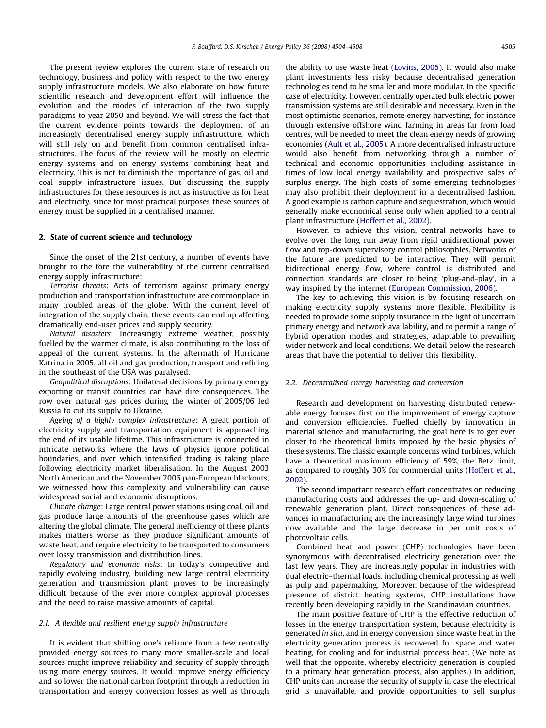The present review explores the current state of research on technology, business and policy with respect to the two energy supply infrastructure models. We also elaborate on how future scientific research and development effort will influence the evolution and the modes of interaction of the two supply paradigms to year 2050 and beyond. We will stress the fact that the current evidence points towards the deployment of an increasingly decentralised energy supply infrastructure, which will still rely on and benefit from common centralised infrastructures. The focus of the review will be mostly on electric energy systems and on energy systems combining heat and electricity. This is not to diminish the importance of gas, oil and coal supply infrastructure issues. But discussing the supply infrastructures for these resources is not as instructive as for heat and electricity, since for most practical purposes these sources of energy must be supplied in a centralised manner.

#### 2. State of current science and technology

Since the onset of the 21st century, a number of events have brought to the fore the vulnerability of the current centralised energy supply infrastructure:

Terrorist threats: Acts of terrorism against primary energy production and transportation infrastructure are commonplace in many troubled areas of the globe. With the current level of integration of the supply chain, these events can end up affecting dramatically end-user prices and supply security.

Natural disasters: Increasingly extreme weather, possibly fuelled by the warmer climate, is also contributing to the loss of appeal of the current systems. In the aftermath of Hurricane Katrina in 2005, all oil and gas production, transport and refining in the southeast of the USA was paralysed.

Geopolitical disruptions: Unilateral decisions by primary energy exporting or transit countries can have dire consequences. The row over natural gas prices during the winter of 2005/06 led Russia to cut its supply to Ukraine.

Ageing of a highly complex infrastructure: A great portion of electricity supply and transportation equipment is approaching the end of its usable lifetime. This infrastructure is connected in intricate networks where the laws of physics ignore political boundaries, and over which intensified trading is taking place following electricity market liberalisation. In the August 2003 North American and the November 2006 pan-European blackouts, we witnessed how this complexity and vulnerability can cause widespread social and economic disruptions.

Climate change: Large central power stations using coal, oil and gas produce large amounts of the greenhouse gases which are altering the global climate. The general inefficiency of these plants makes matters worse as they produce significant amounts of waste heat, and require electricity to be transported to consumers over lossy transmission and distribution lines.

Regulatory and economic risks: In today's competitive and rapidly evolving industry, building new large central electricity generation and transmission plant proves to be increasingly difficult because of the ever more complex approval processes and the need to raise massive amounts of capital.

#### 2.1. A flexible and resilient energy supply infrastructure

It is evident that shifting one's reliance from a few centrally provided energy sources to many more smaller-scale and local sources might improve reliability and security of supply through using more energy sources. It would improve energy efficiency and so lower the national carbon footprint through a reduction in transportation and energy conversion losses as well as through the ability to use waste heat [\(Lovins, 2005\)](#page-4-0). It would also make plant investments less risky because decentralised generation technologies tend to be smaller and more modular. In the specific case of electricity, however, centrally operated bulk electric power transmission systems are still desirable and necessary. Even in the most optimistic scenarios, remote energy harvesting, for instance through extensive offshore wind farming in areas far from load centres, will be needed to meet the clean energy needs of growing economies ([Ault et al., 2005\)](#page-4-0). A more decentralised infrastructure would also benefit from networking through a number of technical and economic opportunities including assistance in times of low local energy availability and prospective sales of surplus energy. The high costs of some emerging technologies may also prohibit their deployment in a decentralised fashion. A good example is carbon capture and sequestration, which would generally make economical sense only when applied to a central plant infrastructure ([Hoffert et al., 2002\)](#page-4-0).

However, to achieve this vision, central networks have to evolve over the long run away from rigid unidirectional power flow and top-down supervisory control philosophies. Networks of the future are predicted to be interactive. They will permit bidirectional energy flow, where control is distributed and connection standards are closer to being 'plug-and-play', in a way inspired by the internet ([European Commission, 2006\)](#page-4-0).

The key to achieving this vision is by focusing research on making electricity supply systems more flexible. Flexibility is needed to provide some supply insurance in the light of uncertain primary energy and network availability, and to permit a range of hybrid operation modes and strategies, adaptable to prevailing wider network and local conditions. We detail below the research areas that have the potential to deliver this flexibility.

#### 2.2. Decentralised energy harvesting and conversion

Research and development on harvesting distributed renewable energy focuses first on the improvement of energy capture and conversion efficiencies. Fuelled chiefly by innovation in material science and manufacturing, the goal here is to get ever closer to the theoretical limits imposed by the basic physics of these systems. The classic example concerns wind turbines, which have a theoretical maximum efficiency of 59%, the Betz limit, as compared to roughly 30% for commercial units [\(Hoffert et al.,](#page-4-0) [2002\)](#page-4-0).

The second important research effort concentrates on reducing manufacturing costs and addresses the up- and down-scaling of renewable generation plant. Direct consequences of these advances in manufacturing are the increasingly large wind turbines now available and the large decrease in per unit costs of photovoltaic cells.

Combined heat and power (CHP) technologies have been synonymous with decentralised electricity generation over the last few years. They are increasingly popular in industries with dual electric–thermal loads, including chemical processing as well as pulp and papermaking. Moreover, because of the widespread presence of district heating systems, CHP installations have recently been developing rapidly in the Scandinavian countries.

The main positive feature of CHP is the effective reduction of losses in the energy transportation system, because electricity is generated in situ, and in energy conversion, since waste heat in the electricity generation process is recovered for space and water heating, for cooling and for industrial process heat. (We note as well that the opposite, whereby electricity generation is coupled to a primary heat generation process, also applies.) In addition, CHP units can increase the security of supply in case the electrical grid is unavailable, and provide opportunities to sell surplus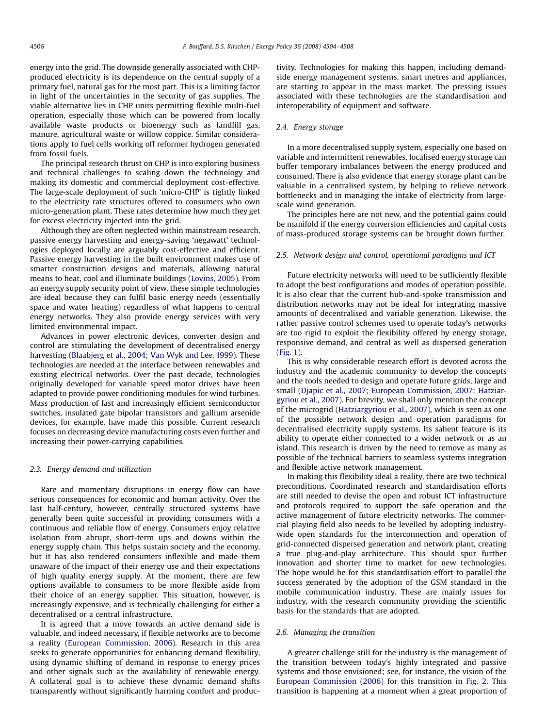energy into the grid. The downside generally associated with CHPproduced electricity is its dependence on the central supply of a primary fuel, natural gas for the most part. This is a limiting factor in light of the uncertainties in the security of gas supplies. The viable alternative lies in CHP units permitting flexible multi-fuel operation, especially those which can be powered from locally available waste products or bioenergy such as landfill gas, manure, agricultural waste or willow coppice. Similar considerations apply to fuel cells working off reformer hydrogen generated from fossil fuels.

The principal research thrust on CHP is into exploring business and technical challenges to scaling down the technology and making its domestic and commercial deployment cost-effective. The large-scale deployment of such 'micro-CHP' is tightly linked to the electricity rate structures offered to consumers who own micro-generation plant. These rates determine how much they get for excess electricity injected into the grid.

Although they are often neglected within mainstream research, passive energy harvesting and energy-saving 'negawatt' technologies deployed locally are arguably cost-effective and efficient. Passive energy harvesting in the built environment makes use of smarter construction designs and materials, allowing natural means to heat, cool and illuminate buildings ([Lovins, 2005\)](#page-4-0). From an energy supply security point of view, these simple technologies are ideal because they can fulfil basic energy needs (essentially space and water heating) regardless of what happens to central energy networks. They also provide energy services with very limited environmental impact.

Advances in power electronic devices, converter design and control are stimulating the development of decentralised energy harvesting [\(Blaabjerg et al., 2004;](#page-4-0) [Van Wyk and Lee, 1999](#page-4-0)). These technologies are needed at the interface between renewables and existing electrical networks. Over the past decade, technologies originally developed for variable speed motor drives have been adapted to provide power conditioning modules for wind turbines. Mass production of fast and increasingly efficient semiconductor switches, insulated gate bipolar transistors and gallium arsenide devices, for example, have made this possible. Current research focuses on decreasing device manufacturing costs even further and increasing their power-carrying capabilities.

#### 2.3. Energy demand and utilization

Rare and momentary disruptions in energy flow can have serious consequences for economic and human activity. Over the last half-century, however, centrally structured systems have generally been quite successful in providing consumers with a continuous and reliable flow of energy. Consumers enjoy relative isolation from abrupt, short-term ups and downs within the energy supply chain. This helps sustain society and the economy, but it has also rendered consumers inflexible and made them unaware of the impact of their energy use and their expectations of high quality energy supply. At the moment, there are few options available to consumers to be more flexible aside from their choice of an energy supplier. This situation, however, is increasingly expensive, and is technically challenging for either a decentralised or a central infrastructure.

It is agreed that a move towards an active demand side is valuable, and indeed necessary, if flexible networks are to become a reality [\(European Commission, 2006](#page-4-0)). Research in this area seeks to generate opportunities for enhancing demand flexibility, using dynamic shifting of demand in response to energy prices and other signals such as the availability of renewable energy. A collateral goal is to achieve these dynamic demand shifts transparently without significantly harming comfort and productivity. Technologies for making this happen, including demandside energy management systems, smart metres and appliances, are starting to appear in the mass market. The pressing issues associated with these technologies are the standardisation and interoperability of equipment and software.

#### 2.4. Energy storage

In a more decentralised supply system, especially one based on variable and intermittent renewables, localised energy storage can buffer temporary imbalances between the energy produced and consumed. There is also evidence that energy storage plant can be valuable in a centralised system, by helping to relieve network bottlenecks and in managing the intake of electricity from largescale wind generation.

The principles here are not new, and the potential gains could be manifold if the energy conversion efficiencies and capital costs of mass-produced storage systems can be brought down further.

#### 2.5. Network design and control, operational paradigms and ICT

Future electricity networks will need to be sufficiently flexible to adopt the best configurations and modes of operation possible. It is also clear that the current hub-and-spoke transmission and distribution networks may not be ideal for integrating massive amounts of decentralised and variable generation. Likewise, the rather passive control schemes used to operate today's networks are too rigid to exploit the flexibility offered by energy storage, responsive demand, and central as well as dispersed generation ([Fig. 1\)](#page-3-0).

This is why considerable research effort is devoted across the industry and the academic community to develop the concepts and the tools needed to design and operate future grids, large and small ([Djapic et al., 2007](#page-4-0); [European Commission, 2007;](#page-4-0) [Hatziar](#page-4-0)[gyriou et al., 2007\)](#page-4-0). For brevity, we shall only mention the concept of the microgrid [\(Hatziargyriou et al., 2007\)](#page-4-0), which is seen as one of the possible network design and operation paradigms for decentralised electricity supply systems. Its salient feature is its ability to operate either connected to a wider network or as an island. This research is driven by the need to remove as many as possible of the technical barriers to seamless systems integration and flexible active network management.

In making this flexibility ideal a reality, there are two technical preconditions. Coordinated research and standardisation efforts are still needed to devise the open and robust ICT infrastructure and protocols required to support the safe operation and the active management of future electricity networks. The commercial playing field also needs to be levelled by adopting industrywide open standards for the interconnection and operation of grid-connected dispersed generation and network plant, creating a true plug-and-play architecture. This should spur further innovation and shorter time to market for new technologies. The hope would be for this standardisation effort to parallel the success generated by the adoption of the GSM standard in the mobile communication industry. These are mainly issues for industry, with the research community providing the scientific basis for the standards that are adopted.

#### 2.6. Managing the transition

A greater challenge still for the industry is the management of the transition between today's highly integrated and passive systems and those envisioned; see, for instance, the vision of the [European Commission \(2006\)](#page-4-0) for this transition in [Fig. 2.](#page-3-0) This transition is happening at a moment when a great proportion of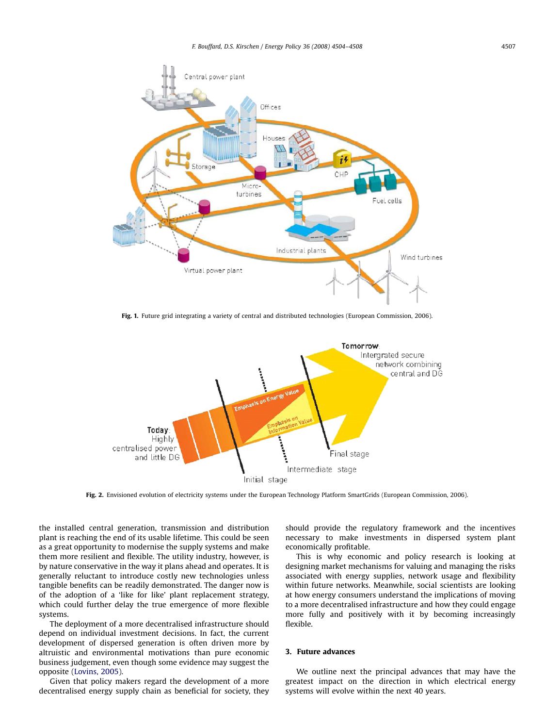<span id="page-3-0"></span>

Fig. 1. Future grid integrating a variety of central and distributed technologies ([European Commission, 2006](#page-4-0)).



Fig. 2. Envisioned evolution of electricity systems under the European Technology Platform SmartGrids ([European Commission, 2006\)](#page-4-0).

the installed central generation, transmission and distribution plant is reaching the end of its usable lifetime. This could be seen as a great opportunity to modernise the supply systems and make them more resilient and flexible. The utility industry, however, is by nature conservative in the way it plans ahead and operates. It is generally reluctant to introduce costly new technologies unless tangible benefits can be readily demonstrated. The danger now is of the adoption of a 'like for like' plant replacement strategy, which could further delay the true emergence of more flexible systems.

The deployment of a more decentralised infrastructure should depend on individual investment decisions. In fact, the current development of dispersed generation is often driven more by altruistic and environmental motivations than pure economic business judgement, even though some evidence may suggest the opposite [\(Lovins, 2005\)](#page-4-0).

Given that policy makers regard the development of a more decentralised energy supply chain as beneficial for society, they should provide the regulatory framework and the incentives necessary to make investments in dispersed system plant economically profitable.

This is why economic and policy research is looking at designing market mechanisms for valuing and managing the risks associated with energy supplies, network usage and flexibility within future networks. Meanwhile, social scientists are looking at how energy consumers understand the implications of moving to a more decentralised infrastructure and how they could engage more fully and positively with it by becoming increasingly flexible.

#### 3. Future advances

We outline next the principal advances that may have the greatest impact on the direction in which electrical energy systems will evolve within the next 40 years.